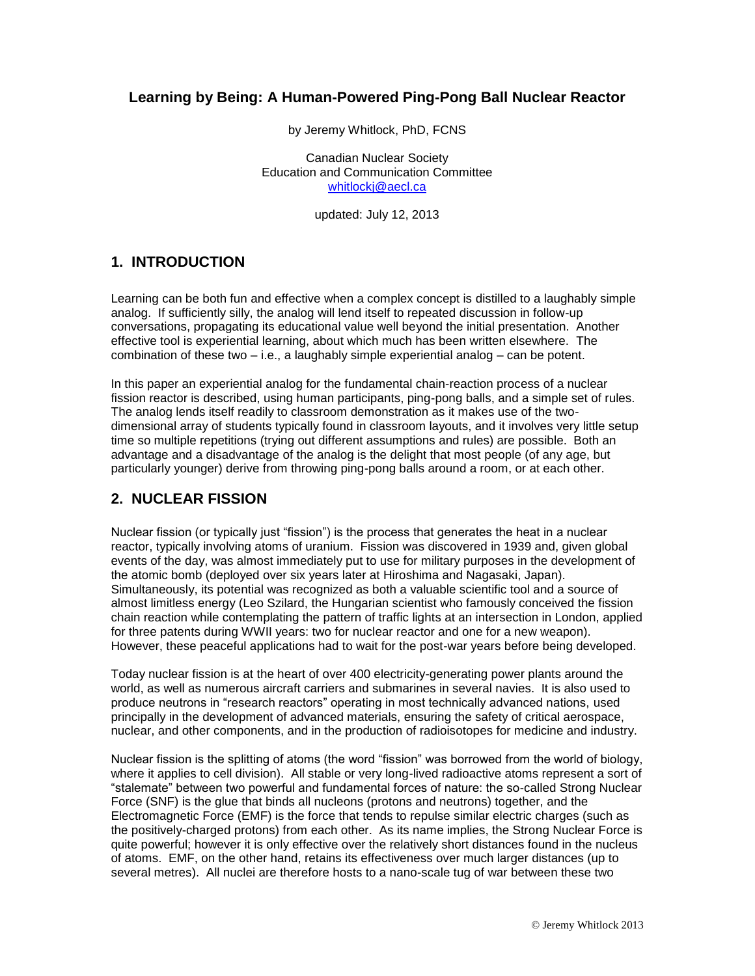#### **Learning by Being: A Human-Powered Ping-Pong Ball Nuclear Reactor**

by Jeremy Whitlock, PhD, FCNS

Canadian Nuclear Society Education and Communication Committee [whitlockj@aecl.ca](mailto:whitlockj@aecl.ca)

updated: July 12, 2013

#### **1. INTRODUCTION**

Learning can be both fun and effective when a complex concept is distilled to a laughably simple analog. If sufficiently silly, the analog will lend itself to repeated discussion in follow-up conversations, propagating its educational value well beyond the initial presentation. Another effective tool is experiential learning, about which much has been written elsewhere. The combination of these two  $-$  i.e., a laughably simple experiential analog  $-$  can be potent.

In this paper an experiential analog for the fundamental chain-reaction process of a nuclear fission reactor is described, using human participants, ping-pong balls, and a simple set of rules. The analog lends itself readily to classroom demonstration as it makes use of the twodimensional array of students typically found in classroom layouts, and it involves very little setup time so multiple repetitions (trying out different assumptions and rules) are possible. Both an advantage and a disadvantage of the analog is the delight that most people (of any age, but particularly younger) derive from throwing ping-pong balls around a room, or at each other.

## **2. NUCLEAR FISSION**

Nuclear fission (or typically just "fission") is the process that generates the heat in a nuclear reactor, typically involving atoms of uranium. Fission was discovered in 1939 and, given global events of the day, was almost immediately put to use for military purposes in the development of the atomic bomb (deployed over six years later at Hiroshima and Nagasaki, Japan). Simultaneously, its potential was recognized as both a valuable scientific tool and a source of almost limitless energy (Leo Szilard, the Hungarian scientist who famously conceived the fission chain reaction while contemplating the pattern of traffic lights at an intersection in London, applied for three patents during WWII years: two for nuclear reactor and one for a new weapon). However, these peaceful applications had to wait for the post-war years before being developed.

Today nuclear fission is at the heart of over 400 electricity-generating power plants around the world, as well as numerous aircraft carriers and submarines in several navies. It is also used to produce neutrons in "research reactors" operating in most technically advanced nations, used principally in the development of advanced materials, ensuring the safety of critical aerospace, nuclear, and other components, and in the production of radioisotopes for medicine and industry.

Nuclear fission is the splitting of atoms (the word "fission" was borrowed from the world of biology, where it applies to cell division). All stable or very long-lived radioactive atoms represent a sort of "stalemate" between two powerful and fundamental forces of nature: the so-called Strong Nuclear Force (SNF) is the glue that binds all nucleons (protons and neutrons) together, and the Electromagnetic Force (EMF) is the force that tends to repulse similar electric charges (such as the positively-charged protons) from each other. As its name implies, the Strong Nuclear Force is quite powerful; however it is only effective over the relatively short distances found in the nucleus of atoms. EMF, on the other hand, retains its effectiveness over much larger distances (up to several metres). All nuclei are therefore hosts to a nano-scale tug of war between these two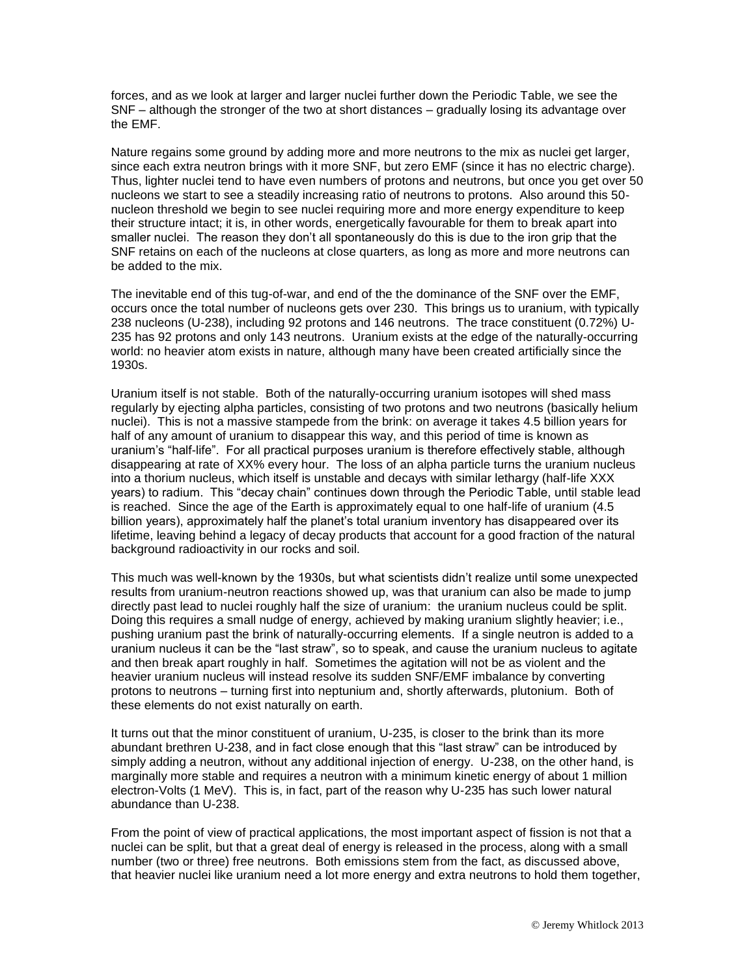forces, and as we look at larger and larger nuclei further down the Periodic Table, we see the SNF – although the stronger of the two at short distances – gradually losing its advantage over the EMF.

Nature regains some ground by adding more and more neutrons to the mix as nuclei get larger, since each extra neutron brings with it more SNF, but zero EMF (since it has no electric charge). Thus, lighter nuclei tend to have even numbers of protons and neutrons, but once you get over 50 nucleons we start to see a steadily increasing ratio of neutrons to protons. Also around this 50 nucleon threshold we begin to see nuclei requiring more and more energy expenditure to keep their structure intact; it is, in other words, energetically favourable for them to break apart into smaller nuclei. The reason they don't all spontaneously do this is due to the iron grip that the SNF retains on each of the nucleons at close quarters, as long as more and more neutrons can be added to the mix.

The inevitable end of this tug-of-war, and end of the the dominance of the SNF over the EMF, occurs once the total number of nucleons gets over 230. This brings us to uranium, with typically 238 nucleons (U-238), including 92 protons and 146 neutrons. The trace constituent (0.72%) U-235 has 92 protons and only 143 neutrons. Uranium exists at the edge of the naturally-occurring world: no heavier atom exists in nature, although many have been created artificially since the 1930s.

Uranium itself is not stable. Both of the naturally-occurring uranium isotopes will shed mass regularly by ejecting alpha particles, consisting of two protons and two neutrons (basically helium nuclei). This is not a massive stampede from the brink: on average it takes 4.5 billion years for half of any amount of uranium to disappear this way, and this period of time is known as uranium's "half-life". For all practical purposes uranium is therefore effectively stable, although disappearing at rate of XX% every hour. The loss of an alpha particle turns the uranium nucleus into a thorium nucleus, which itself is unstable and decays with similar lethargy (half-life XXX years) to radium. This "decay chain" continues down through the Periodic Table, until stable lead is reached. Since the age of the Earth is approximately equal to one half-life of uranium (4.5 billion years), approximately half the planet's total uranium inventory has disappeared over its lifetime, leaving behind a legacy of decay products that account for a good fraction of the natural background radioactivity in our rocks and soil.

This much was well-known by the 1930s, but what scientists didn't realize until some unexpected results from uranium-neutron reactions showed up, was that uranium can also be made to jump directly past lead to nuclei roughly half the size of uranium: the uranium nucleus could be split. Doing this requires a small nudge of energy, achieved by making uranium slightly heavier; i.e., pushing uranium past the brink of naturally-occurring elements. If a single neutron is added to a uranium nucleus it can be the "last straw", so to speak, and cause the uranium nucleus to agitate and then break apart roughly in half. Sometimes the agitation will not be as violent and the heavier uranium nucleus will instead resolve its sudden SNF/EMF imbalance by converting protons to neutrons – turning first into neptunium and, shortly afterwards, plutonium. Both of these elements do not exist naturally on earth.

It turns out that the minor constituent of uranium, U-235, is closer to the brink than its more abundant brethren U-238, and in fact close enough that this "last straw" can be introduced by simply adding a neutron, without any additional injection of energy. U-238, on the other hand, is marginally more stable and requires a neutron with a minimum kinetic energy of about 1 million electron-Volts (1 MeV). This is, in fact, part of the reason why U-235 has such lower natural abundance than U-238.

From the point of view of practical applications, the most important aspect of fission is not that a nuclei can be split, but that a great deal of energy is released in the process, along with a small number (two or three) free neutrons. Both emissions stem from the fact, as discussed above, that heavier nuclei like uranium need a lot more energy and extra neutrons to hold them together,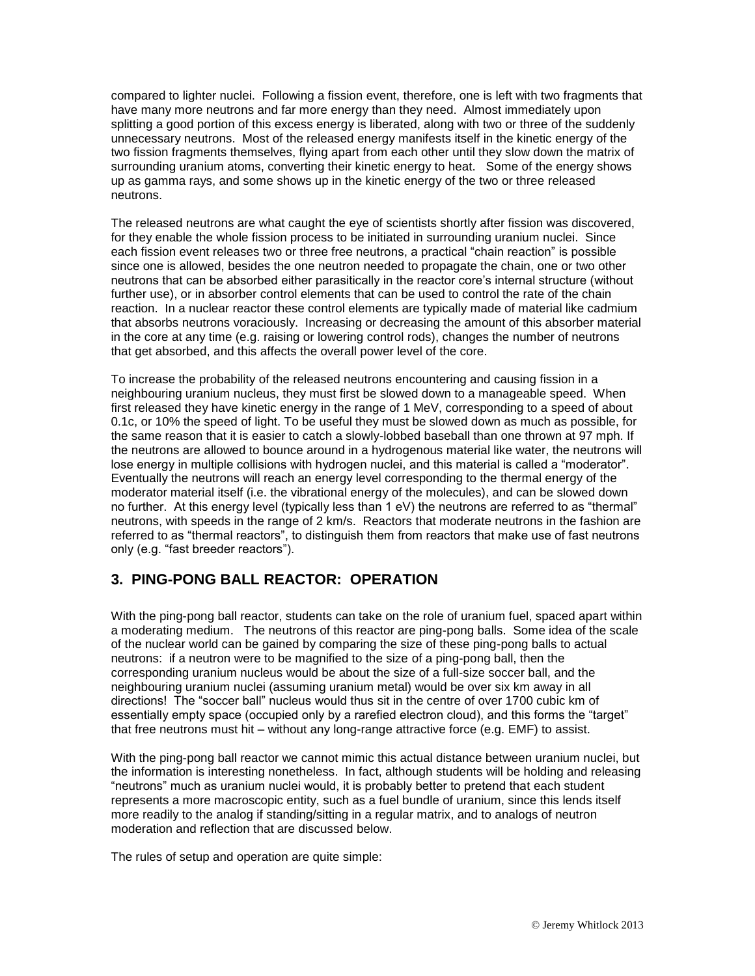compared to lighter nuclei. Following a fission event, therefore, one is left with two fragments that have many more neutrons and far more energy than they need. Almost immediately upon splitting a good portion of this excess energy is liberated, along with two or three of the suddenly unnecessary neutrons. Most of the released energy manifests itself in the kinetic energy of the two fission fragments themselves, flying apart from each other until they slow down the matrix of surrounding uranium atoms, converting their kinetic energy to heat. Some of the energy shows up as gamma rays, and some shows up in the kinetic energy of the two or three released neutrons.

The released neutrons are what caught the eye of scientists shortly after fission was discovered, for they enable the whole fission process to be initiated in surrounding uranium nuclei. Since each fission event releases two or three free neutrons, a practical "chain reaction" is possible since one is allowed, besides the one neutron needed to propagate the chain, one or two other neutrons that can be absorbed either parasitically in the reactor core's internal structure (without further use), or in absorber control elements that can be used to control the rate of the chain reaction. In a nuclear reactor these control elements are typically made of material like cadmium that absorbs neutrons voraciously. Increasing or decreasing the amount of this absorber material in the core at any time (e.g. raising or lowering control rods), changes the number of neutrons that get absorbed, and this affects the overall power level of the core.

To increase the probability of the released neutrons encountering and causing fission in a neighbouring uranium nucleus, they must first be slowed down to a manageable speed. When first released they have kinetic energy in the range of 1 MeV, corresponding to a speed of about 0.1c, or 10% the speed of light. To be useful they must be slowed down as much as possible, for the same reason that it is easier to catch a slowly-lobbed baseball than one thrown at 97 mph. If the neutrons are allowed to bounce around in a hydrogenous material like water, the neutrons will lose energy in multiple collisions with hydrogen nuclei, and this material is called a "moderator". Eventually the neutrons will reach an energy level corresponding to the thermal energy of the moderator material itself (i.e. the vibrational energy of the molecules), and can be slowed down no further. At this energy level (typically less than 1 eV) the neutrons are referred to as "thermal" neutrons, with speeds in the range of 2 km/s. Reactors that moderate neutrons in the fashion are referred to as "thermal reactors", to distinguish them from reactors that make use of fast neutrons only (e.g. "fast breeder reactors").

## **3. PING-PONG BALL REACTOR: OPERATION**

With the ping-pong ball reactor, students can take on the role of uranium fuel, spaced apart within a moderating medium. The neutrons of this reactor are ping-pong balls. Some idea of the scale of the nuclear world can be gained by comparing the size of these ping-pong balls to actual neutrons: if a neutron were to be magnified to the size of a ping-pong ball, then the corresponding uranium nucleus would be about the size of a full-size soccer ball, and the neighbouring uranium nuclei (assuming uranium metal) would be over six km away in all directions! The "soccer ball" nucleus would thus sit in the centre of over 1700 cubic km of essentially empty space (occupied only by a rarefied electron cloud), and this forms the "target" that free neutrons must hit – without any long-range attractive force (e.g. EMF) to assist.

With the ping-pong ball reactor we cannot mimic this actual distance between uranium nuclei, but the information is interesting nonetheless. In fact, although students will be holding and releasing "neutrons" much as uranium nuclei would, it is probably better to pretend that each student represents a more macroscopic entity, such as a fuel bundle of uranium, since this lends itself more readily to the analog if standing/sitting in a regular matrix, and to analogs of neutron moderation and reflection that are discussed below.

The rules of setup and operation are quite simple: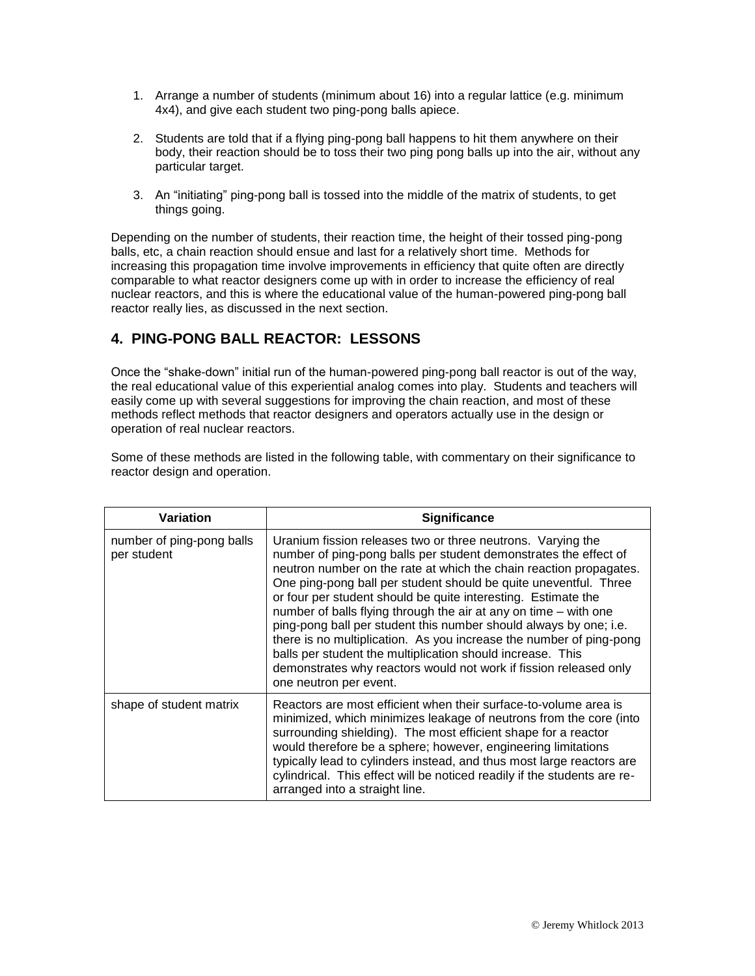- 1. Arrange a number of students (minimum about 16) into a regular lattice (e.g. minimum 4x4), and give each student two ping-pong balls apiece.
- 2. Students are told that if a flying ping-pong ball happens to hit them anywhere on their body, their reaction should be to toss their two ping pong balls up into the air, without any particular target.
- 3. An "initiating" ping-pong ball is tossed into the middle of the matrix of students, to get things going.

Depending on the number of students, their reaction time, the height of their tossed ping-pong balls, etc, a chain reaction should ensue and last for a relatively short time. Methods for increasing this propagation time involve improvements in efficiency that quite often are directly comparable to what reactor designers come up with in order to increase the efficiency of real nuclear reactors, and this is where the educational value of the human-powered ping-pong ball reactor really lies, as discussed in the next section.

# **4. PING-PONG BALL REACTOR: LESSONS**

Once the "shake-down" initial run of the human-powered ping-pong ball reactor is out of the way, the real educational value of this experiential analog comes into play. Students and teachers will easily come up with several suggestions for improving the chain reaction, and most of these methods reflect methods that reactor designers and operators actually use in the design or operation of real nuclear reactors.

Some of these methods are listed in the following table, with commentary on their significance to reactor design and operation.

| <b>Variation</b>                         | <b>Significance</b>                                                                                                                                                                                                                                                                                                                                                                                                                                                                                                                                                                                                                                                                                                     |
|------------------------------------------|-------------------------------------------------------------------------------------------------------------------------------------------------------------------------------------------------------------------------------------------------------------------------------------------------------------------------------------------------------------------------------------------------------------------------------------------------------------------------------------------------------------------------------------------------------------------------------------------------------------------------------------------------------------------------------------------------------------------------|
| number of ping-pong balls<br>per student | Uranium fission releases two or three neutrons. Varying the<br>number of ping-pong balls per student demonstrates the effect of<br>neutron number on the rate at which the chain reaction propagates.<br>One ping-pong ball per student should be quite uneventful. Three<br>or four per student should be quite interesting. Estimate the<br>number of balls flying through the air at any on time - with one<br>ping-pong ball per student this number should always by one; i.e.<br>there is no multiplication. As you increase the number of ping-pong<br>balls per student the multiplication should increase. This<br>demonstrates why reactors would not work if fission released only<br>one neutron per event. |
| shape of student matrix                  | Reactors are most efficient when their surface-to-volume area is<br>minimized, which minimizes leakage of neutrons from the core (into<br>surrounding shielding). The most efficient shape for a reactor<br>would therefore be a sphere; however, engineering limitations<br>typically lead to cylinders instead, and thus most large reactors are<br>cylindrical. This effect will be noticed readily if the students are re-<br>arranged into a straight line.                                                                                                                                                                                                                                                        |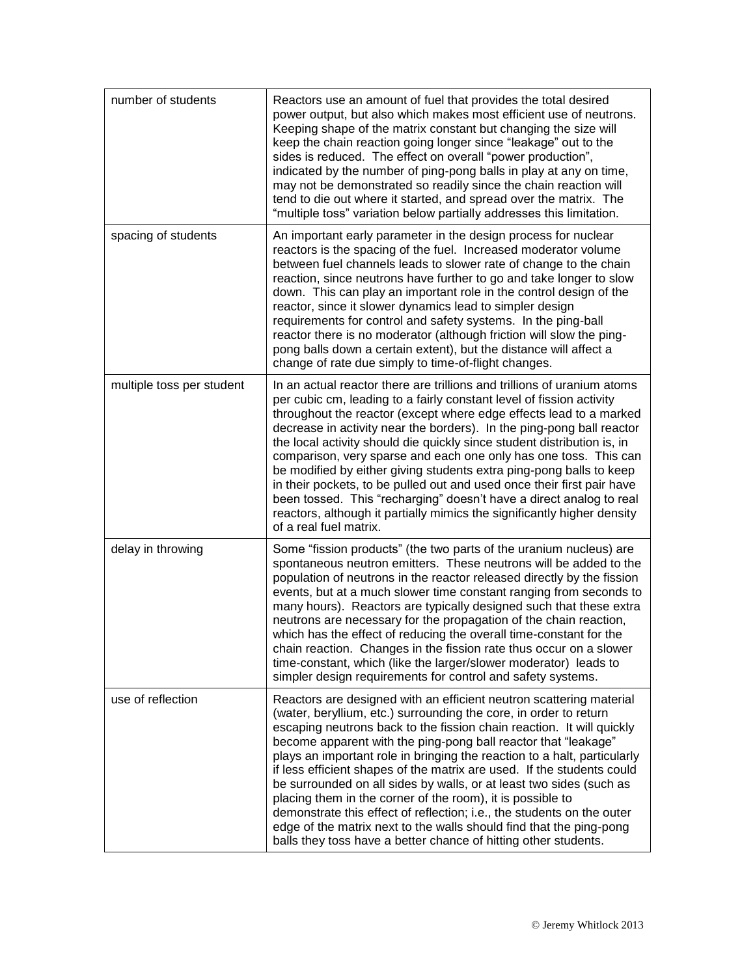| number of students        | Reactors use an amount of fuel that provides the total desired<br>power output, but also which makes most efficient use of neutrons.<br>Keeping shape of the matrix constant but changing the size will<br>keep the chain reaction going longer since "leakage" out to the<br>sides is reduced. The effect on overall "power production",<br>indicated by the number of ping-pong balls in play at any on time,<br>may not be demonstrated so readily since the chain reaction will<br>tend to die out where it started, and spread over the matrix. The<br>"multiple toss" variation below partially addresses this limitation.                                                                                                                                                                   |
|---------------------------|----------------------------------------------------------------------------------------------------------------------------------------------------------------------------------------------------------------------------------------------------------------------------------------------------------------------------------------------------------------------------------------------------------------------------------------------------------------------------------------------------------------------------------------------------------------------------------------------------------------------------------------------------------------------------------------------------------------------------------------------------------------------------------------------------|
| spacing of students       | An important early parameter in the design process for nuclear<br>reactors is the spacing of the fuel. Increased moderator volume<br>between fuel channels leads to slower rate of change to the chain<br>reaction, since neutrons have further to go and take longer to slow<br>down. This can play an important role in the control design of the<br>reactor, since it slower dynamics lead to simpler design<br>requirements for control and safety systems. In the ping-ball<br>reactor there is no moderator (although friction will slow the ping-<br>pong balls down a certain extent), but the distance will affect a<br>change of rate due simply to time-of-flight changes.                                                                                                              |
| multiple toss per student | In an actual reactor there are trillions and trillions of uranium atoms<br>per cubic cm, leading to a fairly constant level of fission activity<br>throughout the reactor (except where edge effects lead to a marked<br>decrease in activity near the borders). In the ping-pong ball reactor<br>the local activity should die quickly since student distribution is, in<br>comparison, very sparse and each one only has one toss. This can<br>be modified by either giving students extra ping-pong balls to keep<br>in their pockets, to be pulled out and used once their first pair have<br>been tossed. This "recharging" doesn't have a direct analog to real<br>reactors, although it partially mimics the significantly higher density<br>of a real fuel matrix.                         |
| delay in throwing         | Some "fission products" (the two parts of the uranium nucleus) are<br>spontaneous neutron emitters. These neutrons will be added to the<br>population of neutrons in the reactor released directly by the fission<br>events, but at a much slower time constant ranging from seconds to<br>many hours). Reactors are typically designed such that these extra<br>neutrons are necessary for the propagation of the chain reaction,<br>which has the effect of reducing the overall time-constant for the<br>chain reaction. Changes in the fission rate thus occur on a slower<br>time-constant, which (like the larger/slower moderator) leads to<br>simpler design requirements for control and safety systems.                                                                                  |
| use of reflection         | Reactors are designed with an efficient neutron scattering material<br>(water, beryllium, etc.) surrounding the core, in order to return<br>escaping neutrons back to the fission chain reaction. It will quickly<br>become apparent with the ping-pong ball reactor that "leakage"<br>plays an important role in bringing the reaction to a halt, particularly<br>if less efficient shapes of the matrix are used. If the students could<br>be surrounded on all sides by walls, or at least two sides (such as<br>placing them in the corner of the room), it is possible to<br>demonstrate this effect of reflection; i.e., the students on the outer<br>edge of the matrix next to the walls should find that the ping-pong<br>balls they toss have a better chance of hitting other students. |